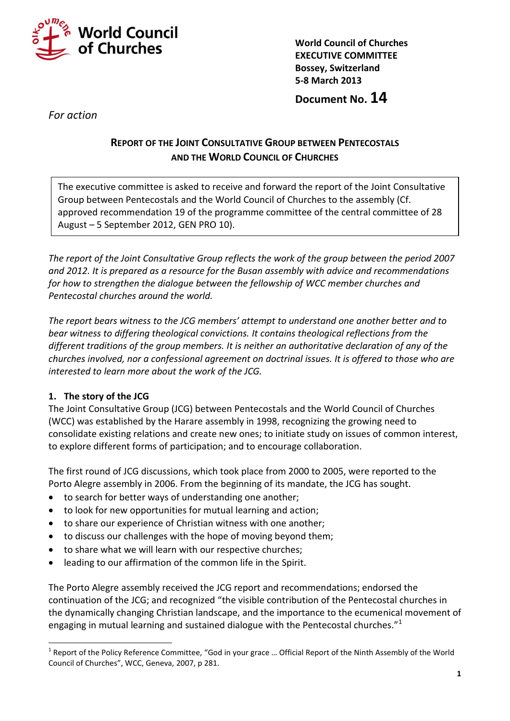

**World Council of Churches EXECUTIVE COMMITTEE Bossey, Switzerland 5-8 March 2013**

**Document No. 14**

*For action*

# **REPORT OF THE JOINT CONSULTATIVE GROUP BETWEEN PENTECOSTALS AND THE WORLD COUNCIL OF CHURCHES**

The executive committee is asked to receive and forward the report of the Joint Consultative Group between Pentecostals and the World Council of Churches to the assembly (Cf. approved recommendation 19 of the programme committee of the central committee of 28 August – 5 September 2012, GEN PRO 10).

*The report of the Joint Consultative Group reflects the work of the group between the period 2007 and 2012. It is prepared as a resource for the Busan assembly with advice and recommendations for how to strengthen the dialogue between the fellowship of WCC member churches and Pentecostal churches around the world.* 

*The report bears witness to the JCG members' attempt to understand one another better and to bear witness to differing theological convictions. It contains theological reflections from the different traditions of the group members. It is neither an authoritative declaration of any of the churches involved, nor a confessional agreement on doctrinal issues. It is offered to those who are interested to learn more about the work of the JCG.*

# **1. The story of the JCG**

1

The Joint Consultative Group (JCG) between Pentecostals and the World Council of Churches (WCC) was established by the Harare assembly in 1998, recognizing the growing need to consolidate existing relations and create new ones; to initiate study on issues of common interest, to explore different forms of participation; and to encourage collaboration.

The first round of JCG discussions, which took place from 2000 to 2005, were reported to the Porto Alegre assembly in 2006. From the beginning of its mandate, the JCG has sought.

- to search for better ways of understanding one another;
- to look for new opportunities for mutual learning and action;
- to share our experience of Christian witness with one another;
- to discuss our challenges with the hope of moving beyond them;
- to share what we will learn with our respective churches;
- leading to our affirmation of the common life in the Spirit.

The Porto Alegre assembly received the JCG report and recommendations; endorsed the continuation of the JCG; and recognized "the visible contribution of the Pentecostal churches in the dynamically changing Christian landscape, and the importance to the ecumenical movement of engaging in mutual learning and sustained dialogue with the Pentecostal churches."<sup>1</sup>

 $1$  Report of the Policy Reference Committee, "God in your grace ... Official Report of the Ninth Assembly of the World Council of Churches", WCC, Geneva, 2007, p 281.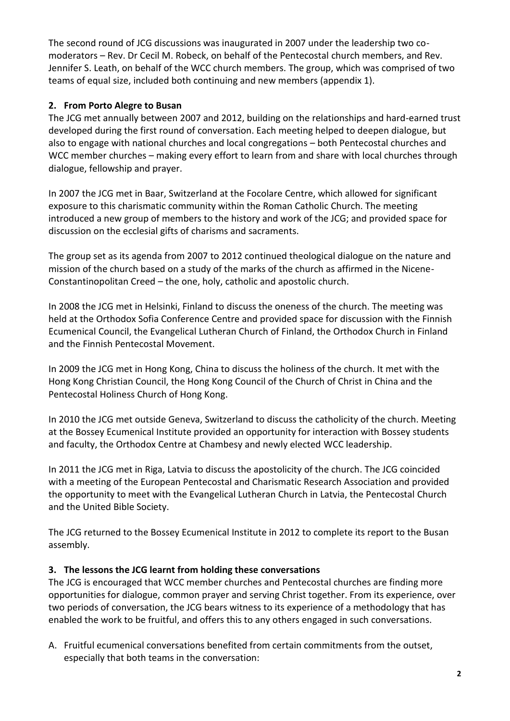The second round of JCG discussions was inaugurated in 2007 under the leadership two comoderators – Rev. Dr Cecil M. Robeck, on behalf of the Pentecostal church members, and Rev. Jennifer S. Leath, on behalf of the WCC church members. The group, which was comprised of two teams of equal size, included both continuing and new members (appendix 1).

# **2. From Porto Alegre to Busan**

The JCG met annually between 2007 and 2012, building on the relationships and hard-earned trust developed during the first round of conversation. Each meeting helped to deepen dialogue, but also to engage with national churches and local congregations – both Pentecostal churches and WCC member churches – making every effort to learn from and share with local churches through dialogue, fellowship and prayer.

In 2007 the JCG met in Baar, Switzerland at the Focolare Centre, which allowed for significant exposure to this charismatic community within the Roman Catholic Church. The meeting introduced a new group of members to the history and work of the JCG; and provided space for discussion on the ecclesial gifts of charisms and sacraments.

The group set as its agenda from 2007 to 2012 continued theological dialogue on the nature and mission of the church based on a study of the marks of the church as affirmed in the Nicene-Constantinopolitan Creed – the one, holy, catholic and apostolic church.

In 2008 the JCG met in Helsinki, Finland to discuss the oneness of the church. The meeting was held at the Orthodox Sofia Conference Centre and provided space for discussion with the Finnish Ecumenical Council, the Evangelical Lutheran Church of Finland, the Orthodox Church in Finland and the Finnish Pentecostal Movement.

In 2009 the JCG met in Hong Kong, China to discuss the holiness of the church. It met with the Hong Kong Christian Council, the Hong Kong Council of the Church of Christ in China and the Pentecostal Holiness Church of Hong Kong.

In 2010 the JCG met outside Geneva, Switzerland to discuss the catholicity of the church. Meeting at the Bossey Ecumenical Institute provided an opportunity for interaction with Bossey students and faculty, the Orthodox Centre at Chambesy and newly elected WCC leadership.

In 2011 the JCG met in Riga, Latvia to discuss the apostolicity of the church. The JCG coincided with a meeting of the European Pentecostal and Charismatic Research Association and provided the opportunity to meet with the Evangelical Lutheran Church in Latvia, the Pentecostal Church and the United Bible Society.

The JCG returned to the Bossey Ecumenical Institute in 2012 to complete its report to the Busan assembly.

# **3. The lessons the JCG learnt from holding these conversations**

The JCG is encouraged that WCC member churches and Pentecostal churches are finding more opportunities for dialogue, common prayer and serving Christ together. From its experience, over two periods of conversation, the JCG bears witness to its experience of a methodology that has enabled the work to be fruitful, and offers this to any others engaged in such conversations.

A. Fruitful ecumenical conversations benefited from certain commitments from the outset, especially that both teams in the conversation: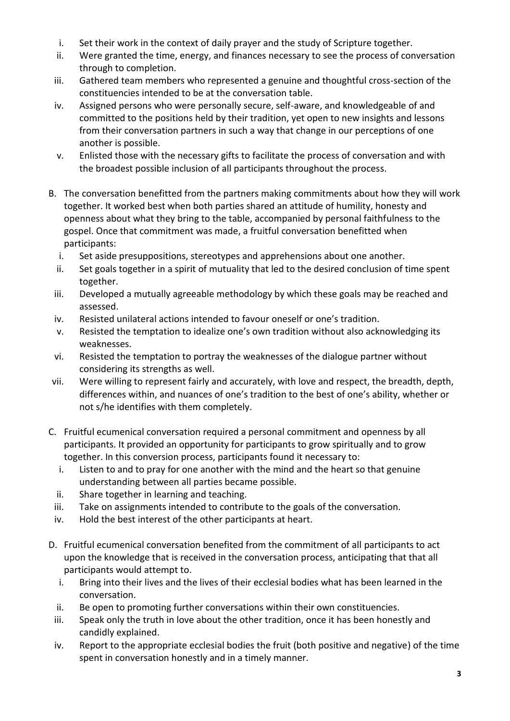- i. Set their work in the context of daily prayer and the study of Scripture together.
- ii. Were granted the time, energy, and finances necessary to see the process of conversation through to completion.
- iii. Gathered team members who represented a genuine and thoughtful cross-section of the constituencies intended to be at the conversation table.
- iv. Assigned persons who were personally secure, self-aware, and knowledgeable of and committed to the positions held by their tradition, yet open to new insights and lessons from their conversation partners in such a way that change in our perceptions of one another is possible.
- v. Enlisted those with the necessary gifts to facilitate the process of conversation and with the broadest possible inclusion of all participants throughout the process.
- B. The conversation benefitted from the partners making commitments about how they will work together. It worked best when both parties shared an attitude of humility, honesty and openness about what they bring to the table, accompanied by personal faithfulness to the gospel. Once that commitment was made, a fruitful conversation benefitted when participants:
	- i. Set aside presuppositions, stereotypes and apprehensions about one another.
	- ii. Set goals together in a spirit of mutuality that led to the desired conclusion of time spent together.
	- iii. Developed a mutually agreeable methodology by which these goals may be reached and assessed.
	- iv. Resisted unilateral actions intended to favour oneself or one's tradition.
	- v. Resisted the temptation to idealize one's own tradition without also acknowledging its weaknesses.
	- vi. Resisted the temptation to portray the weaknesses of the dialogue partner without considering its strengths as well.
- vii. Were willing to represent fairly and accurately, with love and respect, the breadth, depth, differences within, and nuances of one's tradition to the best of one's ability, whether or not s/he identifies with them completely.
- C. Fruitful ecumenical conversation required a personal commitment and openness by all participants. It provided an opportunity for participants to grow spiritually and to grow together. In this conversion process, participants found it necessary to:
	- i. Listen to and to pray for one another with the mind and the heart so that genuine understanding between all parties became possible.
	- ii. Share together in learning and teaching.
	- iii. Take on assignments intended to contribute to the goals of the conversation.
	- iv. Hold the best interest of the other participants at heart.
- D. Fruitful ecumenical conversation benefited from the commitment of all participants to act upon the knowledge that is received in the conversation process, anticipating that that all participants would attempt to.
	- i. Bring into their lives and the lives of their ecclesial bodies what has been learned in the conversation.
	- ii. Be open to promoting further conversations within their own constituencies.
	- iii. Speak only the truth in love about the other tradition, once it has been honestly and candidly explained.
	- iv. Report to the appropriate ecclesial bodies the fruit (both positive and negative) of the time spent in conversation honestly and in a timely manner.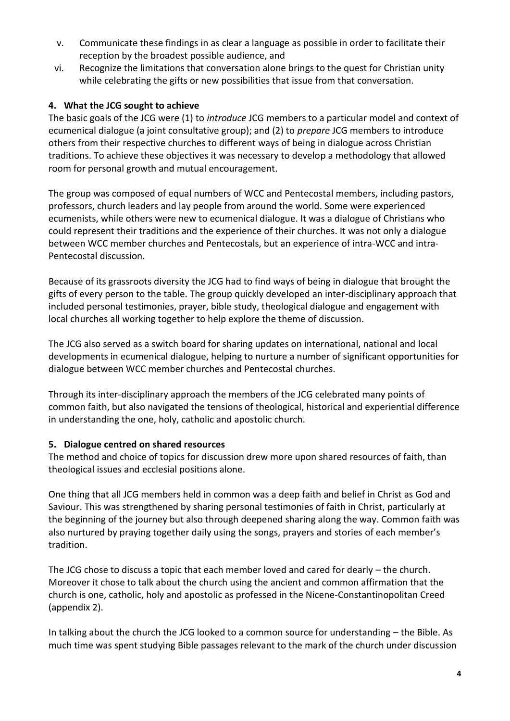- v. Communicate these findings in as clear a language as possible in order to facilitate their reception by the broadest possible audience, and
- vi. Recognize the limitations that conversation alone brings to the quest for Christian unity while celebrating the gifts or new possibilities that issue from that conversation.

## **4. What the JCG sought to achieve**

The basic goals of the JCG were (1) to *introduce* JCG members to a particular model and context of ecumenical dialogue (a joint consultative group); and (2) to *prepare* JCG members to introduce others from their respective churches to different ways of being in dialogue across Christian traditions. To achieve these objectives it was necessary to develop a methodology that allowed room for personal growth and mutual encouragement.

The group was composed of equal numbers of WCC and Pentecostal members, including pastors, professors, church leaders and lay people from around the world. Some were experienced ecumenists, while others were new to ecumenical dialogue. It was a dialogue of Christians who could represent their traditions and the experience of their churches. It was not only a dialogue between WCC member churches and Pentecostals, but an experience of intra-WCC and intra-Pentecostal discussion.

Because of its grassroots diversity the JCG had to find ways of being in dialogue that brought the gifts of every person to the table. The group quickly developed an inter-disciplinary approach that included personal testimonies, prayer, bible study, theological dialogue and engagement with local churches all working together to help explore the theme of discussion.

The JCG also served as a switch board for sharing updates on international, national and local developments in ecumenical dialogue, helping to nurture a number of significant opportunities for dialogue between WCC member churches and Pentecostal churches.

Through its inter-disciplinary approach the members of the JCG celebrated many points of common faith, but also navigated the tensions of theological, historical and experiential difference in understanding the one, holy, catholic and apostolic church.

### **5. Dialogue centred on shared resources**

The method and choice of topics for discussion drew more upon shared resources of faith, than theological issues and ecclesial positions alone.

One thing that all JCG members held in common was a deep faith and belief in Christ as God and Saviour. This was strengthened by sharing personal testimonies of faith in Christ, particularly at the beginning of the journey but also through deepened sharing along the way. Common faith was also nurtured by praying together daily using the songs, prayers and stories of each member's tradition.

The JCG chose to discuss a topic that each member loved and cared for dearly – the church. Moreover it chose to talk about the church using the ancient and common affirmation that the church is one, catholic, holy and apostolic as professed in the Nicene-Constantinopolitan Creed (appendix 2).

In talking about the church the JCG looked to a common source for understanding – the Bible. As much time was spent studying Bible passages relevant to the mark of the church under discussion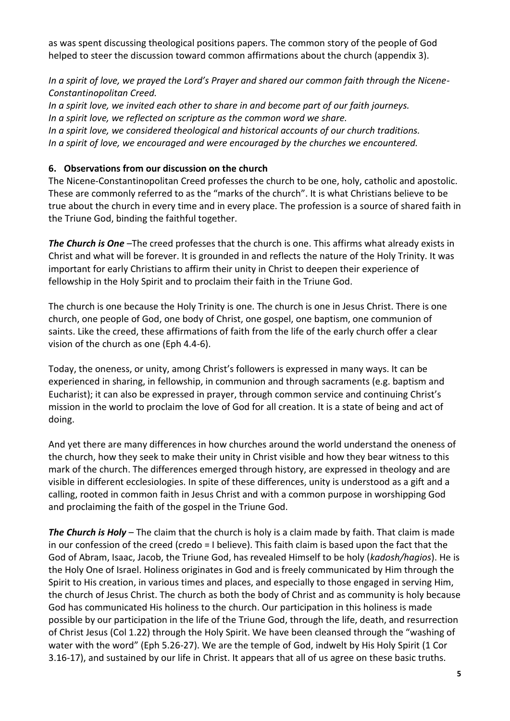as was spent discussing theological positions papers. The common story of the people of God helped to steer the discussion toward common affirmations about the church (appendix 3).

*In a spirit of love, we prayed the Lord's Prayer and shared our common faith through the Nicene-Constantinopolitan Creed.* 

*In a spirit love, we invited each other to share in and become part of our faith journeys. In a spirit love, we reflected on scripture as the common word we share. In a spirit love, we considered theological and historical accounts of our church traditions. In a spirit of love, we encouraged and were encouraged by the churches we encountered.*

## **6. Observations from our discussion on the church**

The Nicene-Constantinopolitan Creed professes the church to be one, holy, catholic and apostolic. These are commonly referred to as the "marks of the church". It is what Christians believe to be true about the church in every time and in every place. The profession is a source of shared faith in the Triune God, binding the faithful together.

*The Church is One* –The creed professes that the church is one. This affirms what already exists in Christ and what will be forever. It is grounded in and reflects the nature of the Holy Trinity. It was important for early Christians to affirm their unity in Christ to deepen their experience of fellowship in the Holy Spirit and to proclaim their faith in the Triune God.

The church is one because the Holy Trinity is one. The church is one in Jesus Christ. There is one church, one people of God, one body of Christ, one gospel, one baptism, one communion of saints. Like the creed, these affirmations of faith from the life of the early church offer a clear vision of the church as one (Eph 4.4-6).

Today, the oneness, or unity, among Christ's followers is expressed in many ways. It can be experienced in sharing, in fellowship, in communion and through sacraments (e.g. baptism and Eucharist); it can also be expressed in prayer, through common service and continuing Christ's mission in the world to proclaim the love of God for all creation. It is a state of being and act of doing.

And yet there are many differences in how churches around the world understand the oneness of the church, how they seek to make their unity in Christ visible and how they bear witness to this mark of the church. The differences emerged through history, are expressed in theology and are visible in different ecclesiologies. In spite of these differences, unity is understood as a gift and a calling, rooted in common faith in Jesus Christ and with a common purpose in worshipping God and proclaiming the faith of the gospel in the Triune God.

*The Church is Holy* – The claim that the church is holy is a claim made by faith. That claim is made in our confession of the creed (credo = I believe). This faith claim is based upon the fact that the God of Abram, Isaac, Jacob, the Triune God, has revealed Himself to be holy (*kadosh/hagios*). He is the Holy One of Israel. Holiness originates in God and is freely communicated by Him through the Spirit to His creation, in various times and places, and especially to those engaged in serving Him, the church of Jesus Christ. The church as both the body of Christ and as community is holy because God has communicated His holiness to the church. Our participation in this holiness is made possible by our participation in the life of the Triune God, through the life, death, and resurrection of Christ Jesus (Col 1.22) through the Holy Spirit. We have been cleansed through the "washing of water with the word" (Eph 5.26-27). We are the temple of God, indwelt by His Holy Spirit (1 Cor 3.16-17), and sustained by our life in Christ. It appears that all of us agree on these basic truths.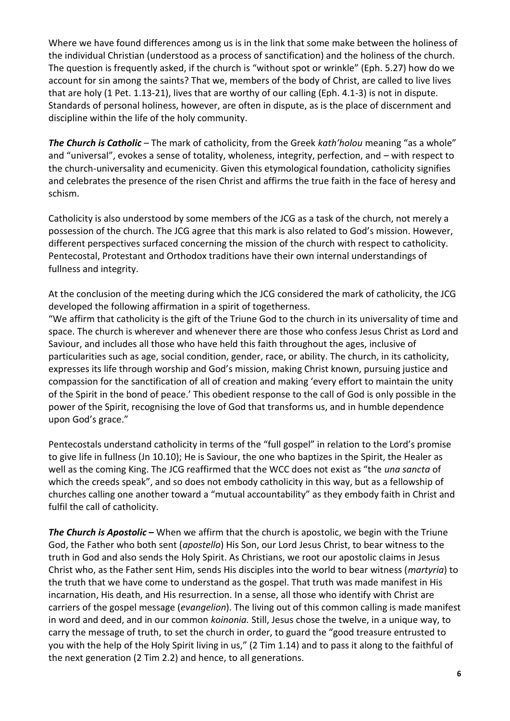Where we have found differences among us is in the link that some make between the holiness of the individual Christian (understood as a process of sanctification) and the holiness of the church. The question is frequently asked, if the church is "without spot or wrinkle" (Eph. 5.27) how do we account for sin among the saints? That we, members of the body of Christ, are called to live lives that are holy (1 Pet. 1.13-21), lives that are worthy of our calling (Eph. 4.1-3) is not in dispute. Standards of personal holiness, however, are often in dispute, as is the place of discernment and discipline within the life of the holy community.

*The Church is Catholic* – The mark of catholicity, from the Greek *kath'holou* meaning "as a whole" and "universal", evokes a sense of totality, wholeness, integrity, perfection, and – with respect to the church-universality and ecumenicity. Given this etymological foundation, catholicity signifies and celebrates the presence of the risen Christ and affirms the true faith in the face of heresy and schism.

Catholicity is also understood by some members of the JCG as a task of the church, not merely a possession of the church. The JCG agree that this mark is also related to God's mission. However, different perspectives surfaced concerning the mission of the church with respect to catholicity. Pentecostal, Protestant and Orthodox traditions have their own internal understandings of fullness and integrity.

At the conclusion of the meeting during which the JCG considered the mark of catholicity, the JCG developed the following affirmation in a spirit of togetherness.

"We affirm that catholicity is the gift of the Triune God to the church in its universality of time and space. The church is wherever and whenever there are those who confess Jesus Christ as Lord and Saviour, and includes all those who have held this faith throughout the ages, inclusive of particularities such as age, social condition, gender, race, or ability. The church, in its catholicity, expresses its life through worship and God's mission, making Christ known, pursuing justice and compassion for the sanctification of all of creation and making 'every effort to maintain the unity of the Spirit in the bond of peace.' This obedient response to the call of God is only possible in the power of the Spirit, recognising the love of God that transforms us, and in humble dependence upon God's grace."

Pentecostals understand catholicity in terms of the "full gospel" in relation to the Lord's promise to give life in fullness (Jn 10.10); He is Saviour, the one who baptizes in the Spirit, the Healer as well as the coming King. The JCG reaffirmed that the WCC does not exist as "the *una sancta* of which the creeds speak", and so does not embody catholicity in this way, but as a fellowship of churches calling one another toward a "mutual accountability" as they embody faith in Christ and fulfil the call of catholicity.

*The Church is Apostolic* **–** When we affirm that the church is apostolic, we begin with the Triune God, the Father who both sent (*apostello*) His Son, our Lord Jesus Christ, to bear witness to the truth in God and also sends the Holy Spirit. As Christians, we root our apostolic claims in Jesus Christ who, as the Father sent Him, sends His disciples into the world to bear witness (*martyria*) to the truth that we have come to understand as the gospel. That truth was made manifest in His incarnation, His death, and His resurrection. In a sense, all those who identify with Christ are carriers of the gospel message (*evangelion*). The living out of this common calling is made manifest in word and deed, and in our common *koinonia.* Still, Jesus chose the twelve, in a unique way, to carry the message of truth, to set the church in order, to guard the "good treasure entrusted to you with the help of the Holy Spirit living in us," (2 Tim 1.14) and to pass it along to the faithful of the next generation (2 Tim 2.2) and hence, to all generations.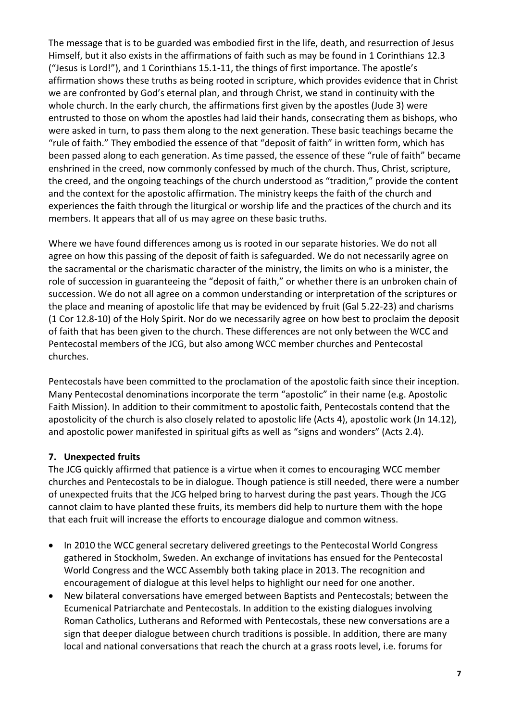The message that is to be guarded was embodied first in the life, death, and resurrection of Jesus Himself, but it also exists in the affirmations of faith such as may be found in 1 Corinthians 12.3 ("Jesus is Lord!"), and 1 Corinthians 15.1-11, the things of first importance. The apostle's affirmation shows these truths as being rooted in scripture, which provides evidence that in Christ we are confronted by God's eternal plan, and through Christ, we stand in continuity with the whole church. In the early church, the affirmations first given by the apostles (Jude 3) were entrusted to those on whom the apostles had laid their hands, consecrating them as bishops, who were asked in turn, to pass them along to the next generation. These basic teachings became the "rule of faith." They embodied the essence of that "deposit of faith" in written form, which has been passed along to each generation. As time passed, the essence of these "rule of faith" became enshrined in the creed, now commonly confessed by much of the church. Thus, Christ, scripture, the creed, and the ongoing teachings of the church understood as "tradition," provide the content and the context for the apostolic affirmation. The ministry keeps the faith of the church and experiences the faith through the liturgical or worship life and the practices of the church and its members. It appears that all of us may agree on these basic truths.

Where we have found differences among us is rooted in our separate histories. We do not all agree on how this passing of the deposit of faith is safeguarded. We do not necessarily agree on the sacramental or the charismatic character of the ministry, the limits on who is a minister, the role of succession in guaranteeing the "deposit of faith," or whether there is an unbroken chain of succession. We do not all agree on a common understanding or interpretation of the scriptures or the place and meaning of apostolic life that may be evidenced by fruit (Gal 5.22-23) and charisms (1 Cor 12.8-10) of the Holy Spirit. Nor do we necessarily agree on how best to proclaim the deposit of faith that has been given to the church. These differences are not only between the WCC and Pentecostal members of the JCG, but also among WCC member churches and Pentecostal churches.

Pentecostals have been committed to the proclamation of the apostolic faith since their inception. Many Pentecostal denominations incorporate the term "apostolic" in their name (e.g. Apostolic Faith Mission). In addition to their commitment to apostolic faith, Pentecostals contend that the apostolicity of the church is also closely related to apostolic life (Acts 4), apostolic work (Jn 14.12), and apostolic power manifested in spiritual gifts as well as "signs and wonders" (Acts 2.4).

### **7. Unexpected fruits**

The JCG quickly affirmed that patience is a virtue when it comes to encouraging WCC member churches and Pentecostals to be in dialogue. Though patience is still needed, there were a number of unexpected fruits that the JCG helped bring to harvest during the past years. Though the JCG cannot claim to have planted these fruits, its members did help to nurture them with the hope that each fruit will increase the efforts to encourage dialogue and common witness.

- In 2010 the WCC general secretary delivered greetings to the Pentecostal World Congress gathered in Stockholm, Sweden. An exchange of invitations has ensued for the Pentecostal World Congress and the WCC Assembly both taking place in 2013. The recognition and encouragement of dialogue at this level helps to highlight our need for one another.
- New bilateral conversations have emerged between Baptists and Pentecostals; between the Ecumenical Patriarchate and Pentecostals. In addition to the existing dialogues involving Roman Catholics, Lutherans and Reformed with Pentecostals, these new conversations are a sign that deeper dialogue between church traditions is possible. In addition, there are many local and national conversations that reach the church at a grass roots level, i.e. forums for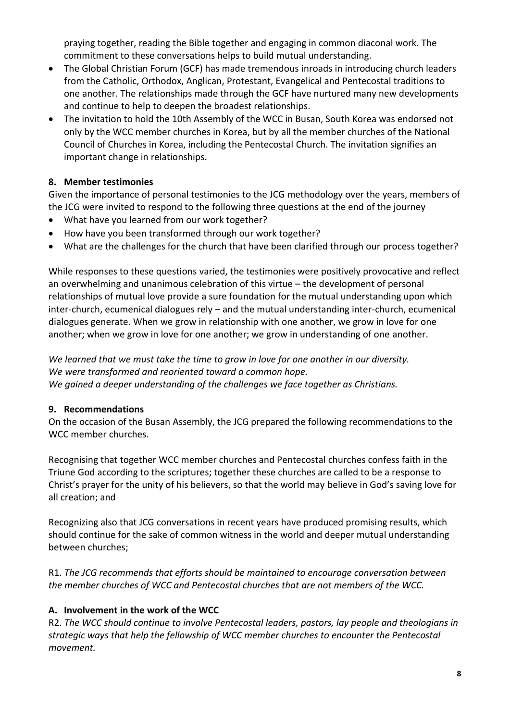praying together, reading the Bible together and engaging in common diaconal work. The commitment to these conversations helps to build mutual understanding.

- The Global Christian Forum (GCF) has made tremendous inroads in introducing church leaders from the Catholic, Orthodox, Anglican, Protestant, Evangelical and Pentecostal traditions to one another. The relationships made through the GCF have nurtured many new developments and continue to help to deepen the broadest relationships.
- The invitation to hold the 10th Assembly of the WCC in Busan, South Korea was endorsed not only by the WCC member churches in Korea, but by all the member churches of the National Council of Churches in Korea, including the Pentecostal Church. The invitation signifies an important change in relationships.

# **8. Member testimonies**

Given the importance of personal testimonies to the JCG methodology over the years, members of the JCG were invited to respond to the following three questions at the end of the journey

- What have you learned from our work together?
- How have you been transformed through our work together?
- What are the challenges for the church that have been clarified through our process together?

While responses to these questions varied, the testimonies were positively provocative and reflect an overwhelming and unanimous celebration of this virtue – the development of personal relationships of mutual love provide a sure foundation for the mutual understanding upon which inter-church, ecumenical dialogues rely – and the mutual understanding inter-church, ecumenical dialogues generate. When we grow in relationship with one another, we grow in love for one another; when we grow in love for one another; we grow in understanding of one another.

*We learned that we must take the time to grow in love for one another in our diversity. We were transformed and reoriented toward a common hope. We gained a deeper understanding of the challenges we face together as Christians.*

### **9. Recommendations**

On the occasion of the Busan Assembly, the JCG prepared the following recommendations to the WCC member churches.

Recognising that together WCC member churches and Pentecostal churches confess faith in the Triune God according to the scriptures; together these churches are called to be a response to Christ's prayer for the unity of his believers, so that the world may believe in God's saving love for all creation; and

Recognizing also that JCG conversations in recent years have produced promising results, which should continue for the sake of common witness in the world and deeper mutual understanding between churches;

R1. *The JCG recommends that efforts should be maintained to encourage conversation between the member churches of WCC and Pentecostal churches that are not members of the WCC.* 

# **A. Involvement in the work of the WCC**

R2. *The WCC should continue to involve Pentecostal leaders, pastors, lay people and theologians in strategic ways that help the fellowship of WCC member churches to encounter the Pentecostal movement.*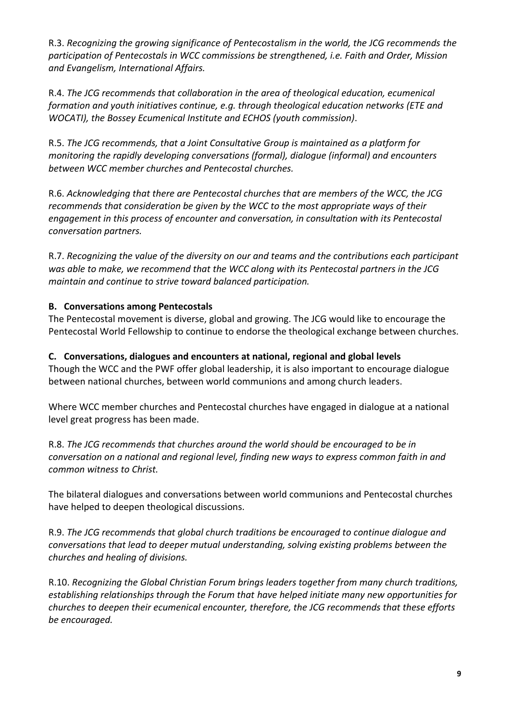R.3. *Recognizing the growing significance of Pentecostalism in the world, the JCG recommends the participation of Pentecostals in WCC commissions be strengthened, i.e. Faith and Order, Mission and Evangelism, International Affairs.*

R.4. *The JCG recommends that collaboration in the area of theological education, ecumenical formation and youth initiatives continue, e.g. through theological education networks (ETE and WOCATI), the Bossey Ecumenical Institute and ECHOS (youth commission)*.

R.5. *The JCG recommends, that a Joint Consultative Group is maintained as a platform for monitoring the rapidly developing conversations (formal), dialogue (informal) and encounters between WCC member churches and Pentecostal churches.* 

R.6. *Acknowledging that there are Pentecostal churches that are members of the WCC, the JCG recommends that consideration be given by the WCC to the most appropriate ways of their engagement in this process of encounter and conversation, in consultation with its Pentecostal conversation partners.*

R.7. *Recognizing the value of the diversity on our and teams and the contributions each participant was able to make, we recommend that the WCC along with its Pentecostal partners in the JCG maintain and continue to strive toward balanced participation.*

# **B. Conversations among Pentecostals**

The Pentecostal movement is diverse, global and growing. The JCG would like to encourage the Pentecostal World Fellowship to continue to endorse the theological exchange between churches.

# **C. Conversations, dialogues and encounters at national, regional and global levels**

Though the WCC and the PWF offer global leadership, it is also important to encourage dialogue between national churches, between world communions and among church leaders.

Where WCC member churches and Pentecostal churches have engaged in dialogue at a national level great progress has been made.

R.8. *The JCG recommends that churches around the world should be encouraged to be in conversation on a national and regional level, finding new ways to express common faith in and common witness to Christ.*

The bilateral dialogues and conversations between world communions and Pentecostal churches have helped to deepen theological discussions.

R.9. *The JCG recommends that global church traditions be encouraged to continue dialogue and conversations that lead to deeper mutual understanding, solving existing problems between the churches and healing of divisions.*

R.10. *Recognizing the Global Christian Forum brings leaders together from many church traditions, establishing relationships through the Forum that have helped initiate many new opportunities for churches to deepen their ecumenical encounter, therefore, the JCG recommends that these efforts be encouraged.*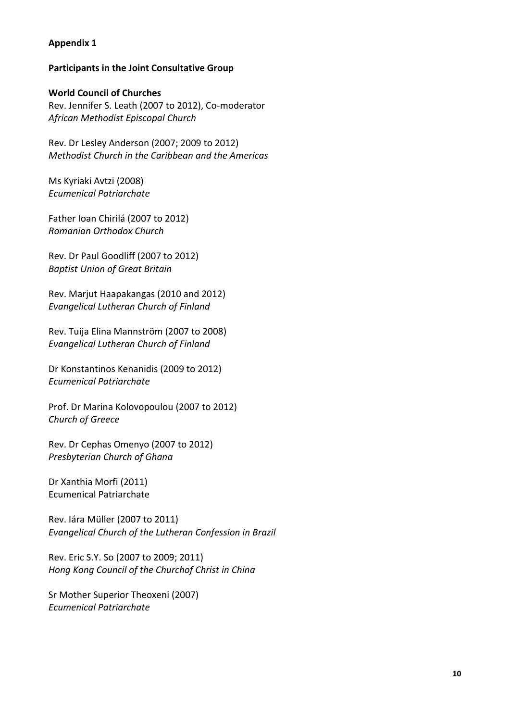#### **Appendix 1**

#### **Participants in the Joint Consultative Group**

#### **World Council of Churches**

Rev. Jennifer S. Leath (2007 to 2012), Co-moderator *African Methodist Episcopal Church*

Rev. Dr Lesley Anderson (2007; 2009 to 2012) *Methodist Church in the Caribbean and the Americas*

Ms Kyriaki Avtzi (2008) *Ecumenical Patriarchate*

Father Ioan Chirilá (2007 to 2012) *Romanian Orthodox Church*

Rev. Dr Paul Goodliff (2007 to 2012) *Baptist Union of Great Britain*

Rev. Marjut Haapakangas (2010 and 2012) *Evangelical Lutheran Church of Finland*

Rev. Tuija Elina Mannström (2007 to 2008) *Evangelical Lutheran Church of Finland* 

Dr Konstantinos Kenanidis (2009 to 2012) *Ecumenical Patriarchate*

Prof. Dr Marina Kolovopoulou (2007 to 2012) *Church of Greece*

Rev. Dr Cephas Omenyo (2007 to 2012) *Presbyterian Church of Ghana*

Dr Xanthia Morfi (2011) Ecumenical Patriarchate

Rev. Iára Müller (2007 to 2011) *Evangelical Church of the Lutheran Confession in Brazil*

Rev. Eric S.Y. So (2007 to 2009; 2011) *Hong Kong Council of the Churchof Christ in China*

Sr Mother Superior Theoxeni (2007) *Ecumenical Patriarchate*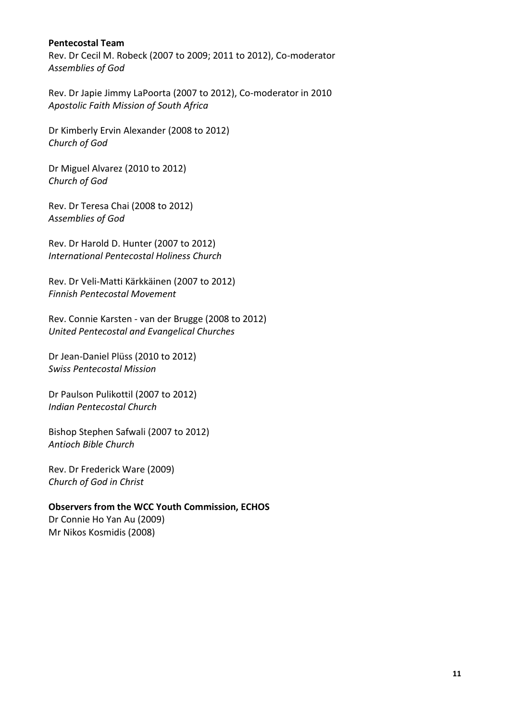#### **Pentecostal Team**

Rev. Dr Cecil M. Robeck (2007 to 2009; 2011 to 2012), Co-moderator *Assemblies of God*

Rev. Dr Japie Jimmy LaPoorta (2007 to 2012), Co-moderator in 2010 *Apostolic Faith Mission of South Africa*

Dr Kimberly Ervin Alexander (2008 to 2012) *Church of God*

Dr Miguel Alvarez (2010 to 2012) *Church of God*

Rev. Dr Teresa Chai (2008 to 2012) *Assemblies of God*

Rev. Dr Harold D. Hunter (2007 to 2012) *International Pentecostal Holiness Church*

Rev. Dr Veli-Matti Kärkkäinen (2007 to 2012) *Finnish Pentecostal Movement*

Rev. Connie Karsten - van der Brugge (2008 to 2012) *United Pentecostal and Evangelical Churches*

Dr Jean-Daniel Plüss (2010 to 2012) *Swiss Pentecostal Mission*

Dr Paulson Pulikottil (2007 to 2012) *Indian Pentecostal Church*

Bishop Stephen Safwali (2007 to 2012) *Antioch Bible Church*

Rev. Dr Frederick Ware (2009) *Church of God in Christ*

### **Observers from the WCC Youth Commission, ECHOS**

Dr Connie Ho Yan Au (2009) Mr Nikos Kosmidis (2008)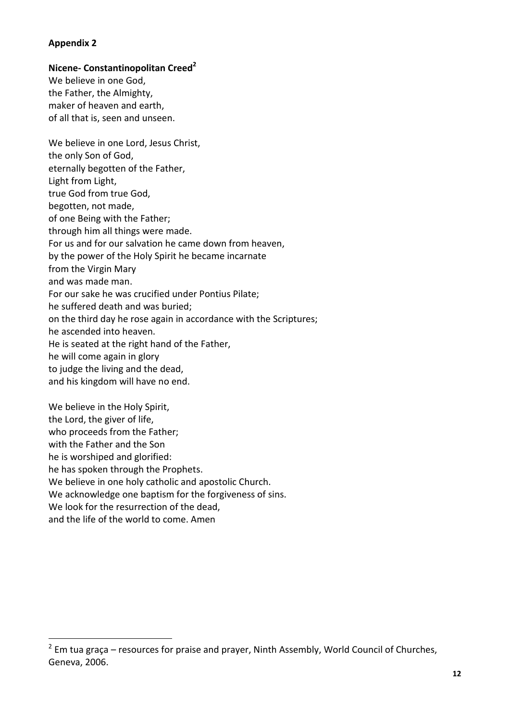#### **Appendix 2**

1

#### **Nicene- Constantinopolitan Creed<sup>2</sup>**

We believe in one God, the Father, the Almighty, maker of heaven and earth, of all that is, seen and unseen.

We believe in one Lord, Jesus Christ, the only Son of God, eternally begotten of the Father, Light from Light, true God from true God, begotten, not made, of one Being with the Father; through him all things were made. For us and for our salvation he came down from heaven, by the power of the Holy Spirit he became incarnate from the Virgin Mary and was made man. For our sake he was crucified under Pontius Pilate; he suffered death and was buried; on the third day he rose again in accordance with the Scriptures; he ascended into heaven. He is seated at the right hand of the Father, he will come again in glory to judge the living and the dead, and his kingdom will have no end.

We believe in the Holy Spirit, the Lord, the giver of life, who proceeds from the Father; with the Father and the Son he is worshiped and glorified: he has spoken through the Prophets. We believe in one holy catholic and apostolic Church. We acknowledge one baptism for the forgiveness of sins. We look for the resurrection of the dead, and the life of the world to come. Amen

 $2$  Em tua graça – resources for praise and prayer, Ninth Assembly, World Council of Churches, Geneva, 2006.